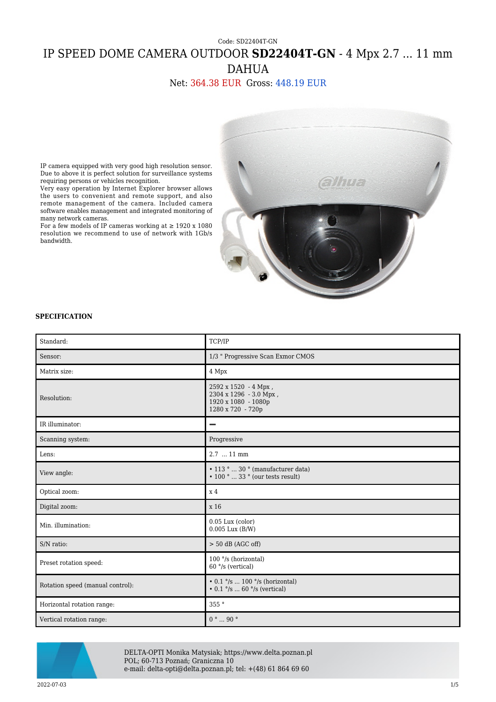# Code: SD22404T-GN IP SPEED DOME CAMERA OUTDOOR **SD22404T-GN** - 4 Mpx 2.7 ... 11 mm DAHUA

### Net: 364.38 EUR Gross: 448.19 EUR



IP camera equipped with very good high resolution sensor. Due to above it is perfect solution for surveillance systems requiring persons or vehicles recognition.

Very easy operation by Internet Explorer browser allows the users to convenient and remote support, and also remote management of the camera. Included camera software enables management and integrated monitoring of many network cameras.

For a few models of IP cameras working at  $\geq 1920$  x 1080 resolution we recommend to use of network with 1Gb/s bandwidth.

#### **SPECIFICATION**

| Standard:                        | TCP/IP                                                                                                          |  |
|----------------------------------|-----------------------------------------------------------------------------------------------------------------|--|
| Sensor:                          | 1/3 " Progressive Scan Exmor CMOS                                                                               |  |
| Matrix size:                     | 4 Mpx                                                                                                           |  |
| Resolution:                      | 2592 x 1520 - 4 Mpx,<br>2304 x 1296 - 3.0 Mpx,<br>1920 x 1080 - 1080p<br>1280 x 720 - 720p                      |  |
| IR illuminator:                  | -                                                                                                               |  |
| Scanning system:                 | Progressive                                                                                                     |  |
| Lens:                            | 2.7  11 mm                                                                                                      |  |
| View angle:                      | $\cdot$ 113 °  30 ° (manufacturer data)<br>$\cdot$ 100 °  33 ° (our tests result)                               |  |
| Optical zoom:                    | x <sub>4</sub>                                                                                                  |  |
| Digital zoom:                    | x 16                                                                                                            |  |
| Min. illumination:               | $0.05$ Lux (color)<br>$0.005$ Lux $(B/W)$                                                                       |  |
| S/N ratio:                       | $> 50$ dB (AGC off)                                                                                             |  |
| Preset rotation speed:           | 100 °/s (horizontal)<br>$60$ $\degree$ /s (vertical)                                                            |  |
| Rotation speed (manual control): | $\cdot$ 0.1 $\degree$ /s  100 $\degree$ /s (horizontal)<br>$\cdot$ 0.1 $\degree$ /s  60 $\degree$ /s (vertical) |  |
| Horizontal rotation range:       | 355 °                                                                                                           |  |
| Vertical rotation range:         | $0° \dots 90°$                                                                                                  |  |



DELTA-OPTI Monika Matysiak; https://www.delta.poznan.pl POL; 60-713 Poznań; Graniczna 10 e-mail: delta-opti@delta.poznan.pl; tel: +(48) 61 864 69 60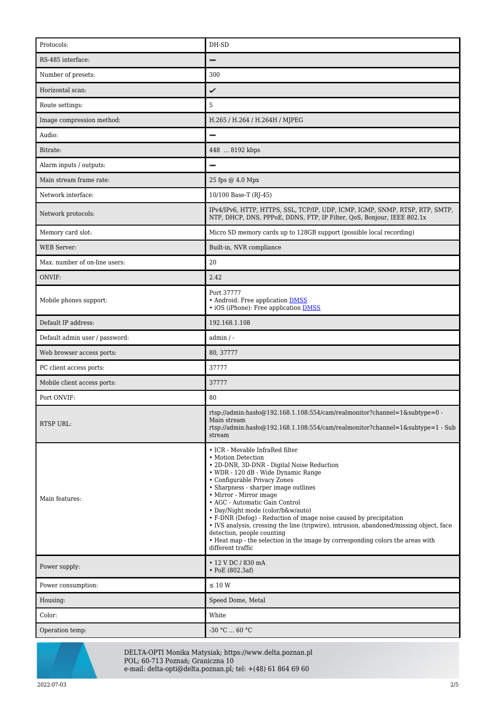| Protocols:                     | DH-SD                                                                                                                                                                                                                                                                                                                                                                                                                                                                                                                                                                                                                      |  |
|--------------------------------|----------------------------------------------------------------------------------------------------------------------------------------------------------------------------------------------------------------------------------------------------------------------------------------------------------------------------------------------------------------------------------------------------------------------------------------------------------------------------------------------------------------------------------------------------------------------------------------------------------------------------|--|
| RS-485 interface:              |                                                                                                                                                                                                                                                                                                                                                                                                                                                                                                                                                                                                                            |  |
| Number of presets:             | 300                                                                                                                                                                                                                                                                                                                                                                                                                                                                                                                                                                                                                        |  |
| Horizontal scan:               | ✓                                                                                                                                                                                                                                                                                                                                                                                                                                                                                                                                                                                                                          |  |
| Route settings:                | 5                                                                                                                                                                                                                                                                                                                                                                                                                                                                                                                                                                                                                          |  |
| Image compression method:      | H.265 / H.264 / H.264H / MJPEG                                                                                                                                                                                                                                                                                                                                                                                                                                                                                                                                                                                             |  |
| Audio:                         |                                                                                                                                                                                                                                                                                                                                                                                                                                                                                                                                                                                                                            |  |
| Bitrate:                       | 448  8192 kbps                                                                                                                                                                                                                                                                                                                                                                                                                                                                                                                                                                                                             |  |
| Alarm inputs / outputs:        |                                                                                                                                                                                                                                                                                                                                                                                                                                                                                                                                                                                                                            |  |
| Main stream frame rate:        | 25 fps @ 4.0 Mpx                                                                                                                                                                                                                                                                                                                                                                                                                                                                                                                                                                                                           |  |
| Network interface:             | 10/100 Base-T (RJ-45)                                                                                                                                                                                                                                                                                                                                                                                                                                                                                                                                                                                                      |  |
| Network protocols:             | IPv4/IPv6, HTTP, HTTPS, SSL, TCP/IP, UDP, ICMP, IGMP, SNMP, RTSP, RTP, SMTP,<br>NTP, DHCP, DNS, PPPoE, DDNS, FTP, IP Filter, QoS, Bonjour, IEEE 802.1x                                                                                                                                                                                                                                                                                                                                                                                                                                                                     |  |
| Memory card slot:              | Micro SD memory cards up to 128GB support (possible local recording)                                                                                                                                                                                                                                                                                                                                                                                                                                                                                                                                                       |  |
| <b>WEB Server:</b>             | Built-in, NVR compliance                                                                                                                                                                                                                                                                                                                                                                                                                                                                                                                                                                                                   |  |
| Max. number of on-line users:  | 20                                                                                                                                                                                                                                                                                                                                                                                                                                                                                                                                                                                                                         |  |
| ONVIF:                         | 2.42                                                                                                                                                                                                                                                                                                                                                                                                                                                                                                                                                                                                                       |  |
| Mobile phones support:         | Port 37777<br>• Android: Free application DMSS<br>• iOS (iPhone): Free application <b>DMSS</b>                                                                                                                                                                                                                                                                                                                                                                                                                                                                                                                             |  |
| Default IP address:            | 192.168.1.108                                                                                                                                                                                                                                                                                                                                                                                                                                                                                                                                                                                                              |  |
| Default admin user / password: | $admin / -$                                                                                                                                                                                                                                                                                                                                                                                                                                                                                                                                                                                                                |  |
| Web browser access ports:      | 80, 37777                                                                                                                                                                                                                                                                                                                                                                                                                                                                                                                                                                                                                  |  |
| PC client access ports:        | 37777                                                                                                                                                                                                                                                                                                                                                                                                                                                                                                                                                                                                                      |  |
| Mobile client access ports:    | 37777                                                                                                                                                                                                                                                                                                                                                                                                                                                                                                                                                                                                                      |  |
| Port ONVIF:                    | 80                                                                                                                                                                                                                                                                                                                                                                                                                                                                                                                                                                                                                         |  |
| <b>RTSP URL:</b>               | rtsp://admin:hasło@192.168.1.108:554/cam/realmonitor?channel=1&subtype=0 -<br>Main stream<br>rtsp://admin:haslo $@192.168.1.108.554/cam/realmonitor?channel=1$ &subtype=1 - Sub<br>stream                                                                                                                                                                                                                                                                                                                                                                                                                                  |  |
| Main features:                 | • ICR - Movable InfraRed filter<br>• Motion Detection<br>• 2D-DNR, 3D-DNR - Digital Noise Reduction<br>• WDR - 120 dB - Wide Dynamic Range<br>• Configurable Privacy Zones<br>• Sharpness - sharper image outlines<br>• Mirror - Mirror image<br>• AGC - Automatic Gain Control<br>• Day/Night mode (color/b&w/auto)<br>• F-DNR (Defog) - Reduction of image noise caused by precipitation<br>• IVS analysis, crossing the line (tripwire), intrusion, abandoned/missing object, face<br>detection, people counting<br>• Heat map - the selection in the image by corresponding colors the areas with<br>different traffic |  |
| Power supply:                  | • 12 V DC / 830 mA<br>$\cdot$ PoE (802.3af)                                                                                                                                                                                                                                                                                                                                                                                                                                                                                                                                                                                |  |
| Power consumption:             | $\leq$ 10 W                                                                                                                                                                                                                                                                                                                                                                                                                                                                                                                                                                                                                |  |
| Housing:                       | Speed Dome, Metal                                                                                                                                                                                                                                                                                                                                                                                                                                                                                                                                                                                                          |  |
| Color:                         | White                                                                                                                                                                                                                                                                                                                                                                                                                                                                                                                                                                                                                      |  |
| Operation temp:                | -30 °C  60 °C                                                                                                                                                                                                                                                                                                                                                                                                                                                                                                                                                                                                              |  |



DELTA-OPTI Monika Matysiak; https://www.delta.poznan.pl POL; 60-713 Poznań; Graniczna 10 e-mail: delta-opti@delta.poznan.pl; tel: +(48) 61 864 69 60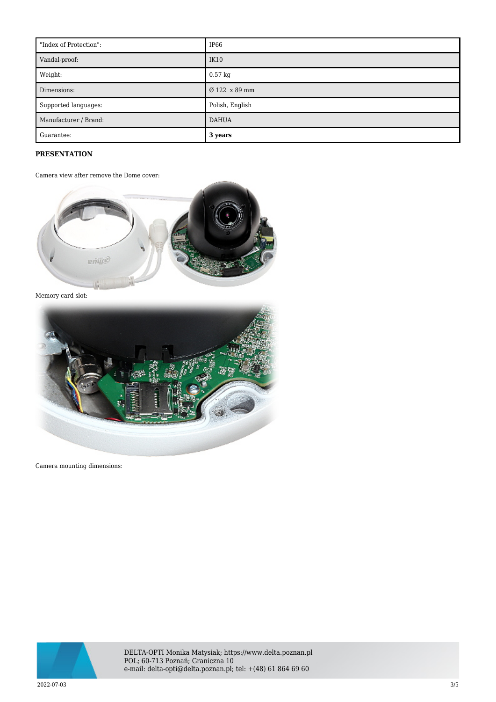| "Index of Protection": | IP66              |
|------------------------|-------------------|
| Vandal-proof:          | IK10              |
| Weight:                | $0.57 \text{ kg}$ |
| Dimensions:            | Ø 122 x 89 mm     |
| Supported languages:   | Polish, English   |
| Manufacturer / Brand:  | <b>DAHUA</b>      |
| Guarantee:             | 3 years           |

## **PRESENTATION**

Camera view after remove the Dome cover:



Memory card slot:



Camera mounting dimensions:



DELTA-OPTI Monika Matysiak; https://www.delta.poznan.pl POL; 60-713 Poznań; Graniczna 10 e-mail: delta-opti@delta.poznan.pl; tel: +(48) 61 864 69 60

2022-07-03 3/5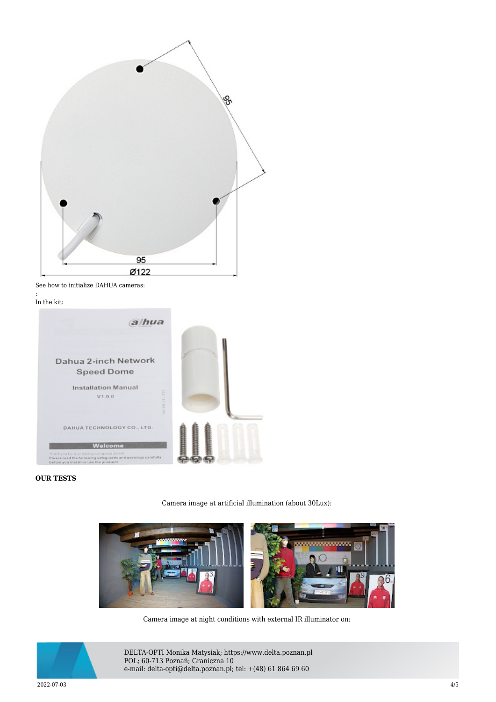|                    | ్య |
|--------------------|----|
|                    |    |
|                    |    |
|                    |    |
|                    |    |
| $\frac{95}{09122}$ |    |
|                    |    |

See how to initialize DAHUA cameras:

: In the kit:



#### **OUR TESTS**



Camera image at artificial illumination (about 30Lux):

Camera image at night conditions with external IR illuminator on:



DELTA-OPTI Monika Matysiak; https://www.delta.poznan.pl POL; 60-713 Poznań; Graniczna 10 e-mail: delta-opti@delta.poznan.pl; tel: +(48) 61 864 69 60

2022-07-03 4/5